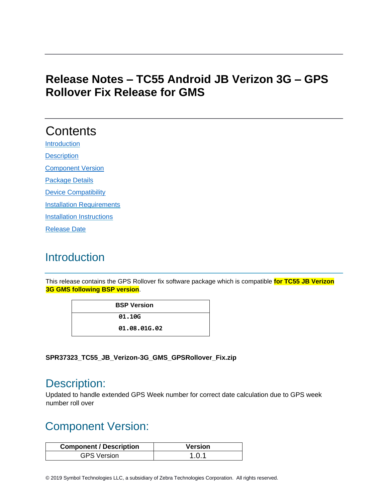### **Release Notes – TC55 Android JB Verizon 3G – GPS Rollover Fix Release for GMS**

# **Contents**

**[Introduction](#page-0-0) [Description](#page-0-1)** 

[Component Version](#page-0-2) 

[Package Details](#page-1-0)

[Device Compatibility](#page-1-1) 

**[Installation Requirements](#page-1-2)** 

[Installation Instructions](#page-1-3)

[Release Date](#page-2-0)

# <span id="page-0-0"></span>**Introduction**

This release contains the GPS Rollover fix software package which is compatible **for TC55 JB Verizon 3G GMS following BSP version**.

> **BSP Version 01.10G 01.08.01G.02**

**SPR37323\_TC55\_JB\_Verizon-3G\_GMS\_GPSRollover\_Fix.zip**

### <span id="page-0-1"></span>Description:

Updated to handle extended GPS Week number for correct date calculation due to GPS week number roll over

## <span id="page-0-2"></span>Component Version:

| <b>Component / Description</b> | Version |
|--------------------------------|---------|
| <b>GPS Version</b>             | 1.0.1   |

© 2019 Symbol Technologies LLC, a subsidiary of Zebra Technologies Corporation. All rights reserved.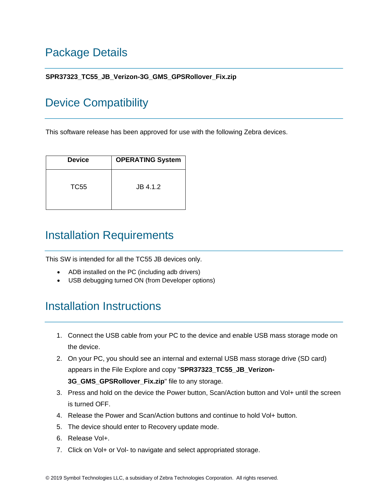# <span id="page-1-0"></span>Package Details

#### **SPR37323\_TC55\_JB\_Verizon-3G\_GMS\_GPSRollover\_Fix.zip**

## <span id="page-1-1"></span>Device Compatibility

This software release has been approved for use with the following Zebra devices.

| <b>Device</b> | <b>OPERATING System</b> |
|---------------|-------------------------|
| TC55          | JB 4.1.2                |

### <span id="page-1-2"></span>Installation Requirements

This SW is intended for all the TC55 JB devices only.

- ADB installed on the PC (including adb drivers)
- USB debugging turned ON (from Developer options)

## <span id="page-1-3"></span>Installation Instructions

- 1. Connect the USB cable from your PC to the device and enable USB mass storage mode on the device.
- 2. On your PC, you should see an internal and external USB mass storage drive (SD card) appears in the File Explore and copy "**SPR37323\_TC55\_JB\_Verizon-3G\_GMS\_GPSRollover\_Fix.zip**" file to any storage.
- 3. Press and hold on the device the Power button, Scan/Action button and Vol+ until the screen is turned OFF.
- 4. Release the Power and Scan/Action buttons and continue to hold Vol+ button.
- 5. The device should enter to Recovery update mode.
- 6. Release Vol+.
- 7. Click on Vol+ or Vol- to navigate and select appropriated storage.